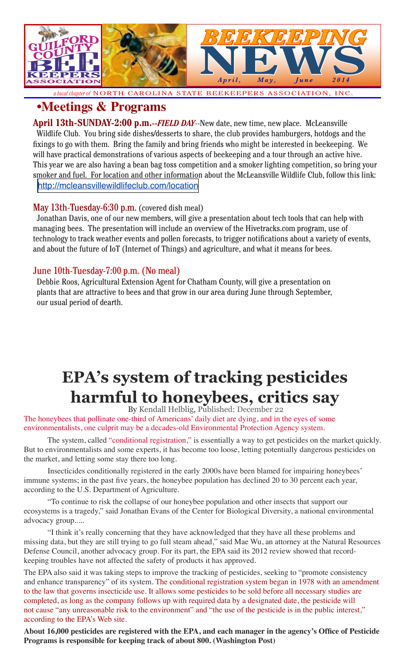

*a local chapter of* NORTH CAROLINA STATE BEEKEEPERS ASSOCIATION, INC.

### **•Meetings & Programs**

**April 13th-SUNDAY-2:00 p.m.--***FIELD DAY*--New date, new time, new place. McLeansville Wildlife Club. You bring side dishes/desserts to share, the club provides hamburgers, hotdogs and the fixings to go with them. Bring the family and bring friends who might be interested in beekeeping. We will have practical demonstrations of various aspects of beekeeping and a tour through an active hive. This year we are also having a bean bag toss competition and a smoker lighting competition, so bring your smoker and fuel. For location and other information about the McLeansville Wildlife Club, follow this link: <http://mcleansvillewildlifeclub.com/location>

#### May 13th-Tuesday-6:30 p.m. (covered dish meal)

 Jonathan Davis, one of our new members, will give a presentation about tech tools that can help with managing bees. The presentation will include an overview of the Hivetracks.com program, use of technology to track weather events and pollen forecasts, to trigger notifications about a variety of events, and about the future of IoT (Internet of Things) and agriculture, and what it means for bees.

#### June 10th-Tuesday-7:00 p.m. (No meal)

 Debbie Roos, Agricultural Extension Agent for Chatham County, will give a presentation on plants that are attractive to bees and that grow in our area during June through September, our usual period of dearth.

## **EPA's system of tracking pesticides harmful to honeybees, critics say**

By Kendall Helblig, Published: December 22

The honeybees that pollinate one-third of Americans' daily diet are dying, and in the eyes of some environmentalists, one culprit may be a decades-old Environmental Protection Agency system.

The system, called "conditional registration," is essentially a way to get pesticides on the market quickly. But to environmentalists and some experts, it has become too loose, letting potentially dangerous pesticides on the market, and letting some stay there too long.

Insecticides conditionally registered in the early 2000s have been blamed for impairing honeybees' immune systems; in the past five years, the honeybee population has declined 20 to 30 percent each year, according to the U.S. Department of Agriculture.

"To continue to risk the collapse of our honeybee population and other insects that support our ecosystems is a tragedy," said Jonathan Evans of the Center for Biological Diversity, a national environmental advocacy group.....

"I think it's really concerning that they have acknowledged that they have all these problems and missing data, but they are still trying to go full steam ahead," said Mae Wu, an attorney at the Natural Resources Defense Council, another advocacy group. For its part, the EPA said its 2012 review showed that recordkeeping troubles have not affected the safety of products it has approved.

The EPA also said it was taking steps to improve the tracking of pesticides, seeking to "promote consistency and enhance transparency" of its system. The conditional registration system began in 1978 with an amendment to the law that governs insecticide use. It allows some pesticides to be sold before all necessary studies are completed, as long as the company follows up with required data by a designated date, the pesticide will not cause "any unreasonable risk to the environment" and "the use of the pesticide is in the public interest," according to the EPA's Web site.

**About 16,000 pesticides are registered with the EPA, and each manager in the agency's Office of Pesticide Programs is responsible for keeping track of about 800. (Washington Post)**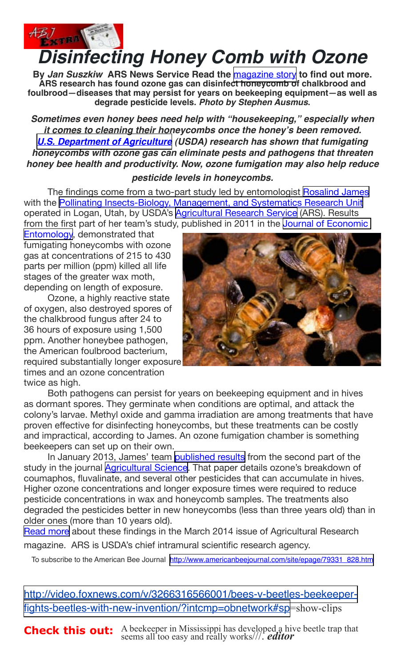

## **Disinfecting Honey Comb 
with Ozone**

**By Jan Suszkiw ARS News Service Read the** [magazine story](http://americanbeejournal.us1.list-manage.com/track/click?u=5fd2b1aa990e63193af2a573d&id=ee59505f1d&e=15fb405077) **to find out more. ARS research has found ozone gas can disinfect honeycomb of chalkbrood and foulbrood—diseases that may persist for years on beekeeping equipment—as well as degrade pesticide levels. Photo by Stephen Ausmus.**

**Sometimes even honey bees need help with "housekeeping," especially when it comes to cleaning their honeycombs once the honey's been removed. [U.S. Department of Agriculture](http://americanbeejournal.us1.list-manage1.com/track/click?u=5fd2b1aa990e63193af2a573d&id=4d9617e0e7&e=15fb405077) (USDA) research has shown that fumigating honeycombs with ozone gas can eliminate pests and pathogens that threaten honey bee health and productivity. Now, ozone fumigation may also help reduce** 

#### **pesticide levels in honeycombs.**

The findings come from a two-part study led by entomologist [Rosalind James](http://americanbeejournal.us1.list-manage.com/track/click?u=5fd2b1aa990e63193af2a573d&id=5744bc7b4a&e=15fb405077) with the [Pollinating Insects-Biology, Management, and Systematics Research Unit](http://americanbeejournal.us1.list-manage1.com/track/click?u=5fd2b1aa990e63193af2a573d&id=08788fa182&e=15fb405077) operated in Logan, Utah, by USDA's [Agricultural Research Service](http://americanbeejournal.us1.list-manage1.com/track/click?u=5fd2b1aa990e63193af2a573d&id=f20649995a&e=15fb405077) (ARS). Results from the first part of her team's study, published in 2011 in the [Journal of Economic](http://americanbeejournal.us1.list-manage.com/track/click?u=5fd2b1aa990e63193af2a573d&id=9903ad9192&e=15fb405077) 

[Entomology,](http://americanbeejournal.us1.list-manage.com/track/click?u=5fd2b1aa990e63193af2a573d&id=9903ad9192&e=15fb405077) demonstrated that fumigating honeycombs with ozone gas at concentrations of 215 to 430 parts per million (ppm) killed all life stages of the greater wax moth, depending on length of exposure.

Ozone, a highly reactive state of oxygen, also destroyed spores of the chalkbrood fungus after 24 to 36 hours of exposure using 1,500 ppm. Another honeybee pathogen, the American foulbrood bacterium,

required substantially longer exposure times and an ozone concentration twice as high.

Both pathogens can persist for years on beekeeping equipment and in hives as dormant spores. They germinate when conditions are optimal, and attack the colony's larvae. Methyl oxide and gamma irradiation are among treatments that have proven effective for disinfecting honeycombs, but these treatments can be costly and impractical, according to James. An ozone fumigation chamber is something beekeepers can set up on their own.

In January 2013, James' team [published results](http://americanbeejournal.us1.list-manage1.com/track/click?u=5fd2b1aa990e63193af2a573d&id=bfe2481f06&e=15fb405077) from the second part of the study in the journal **Agricultural Science**. That paper details ozone's breakdown of coumaphos, fluvalinate, and several other pesticides that can accumulate in hives. Higher ozone concentrations and longer exposure times were required to reduce pesticide concentrations in wax and honeycomb samples. The treatments also degraded the pesticides better in new honeycombs (less than three years old) than in older ones (more than 10 years old).

[Read more](http://americanbeejournal.us1.list-manage2.com/track/click?u=5fd2b1aa990e63193af2a573d&id=06a6062927&e=15fb405077) about these findings in the March 2014 issue of Agricultural Research magazine. ARS is USDA's chief intramural scientific research agency.

To subscribe to the American Bee Journal [http://www.americanbeejournal.com/site/epage/79331\\_828.htm](http://americanbeejournal.us1.list-manage2.com/track/click?u=5fd2b1aa990e63193af2a573d&id=37949208f7&e=15fb405077)

### [http://video.foxnews.com/v/3266316566001/bees-v-beetles-beekeeper](http://video.foxnews.com/v/3266316566001/bees-v-beetles-beekeeper-fights-beetles-with-new-invention/?intcmp=obnetwork#sp)[fights-beetles-with-new-invention/?intcmp=obnetwork#sp](http://video.foxnews.com/v/3266316566001/bees-v-beetles-beekeeper-fights-beetles-with-new-invention/?intcmp=obnetwork#sp)=show-clips

A beekeeper in Mississippi has developed a hive beetle trap that **Check this out:** A beekeeper in Mississippi has developed a hiv seems all too easy and really works///. *editor*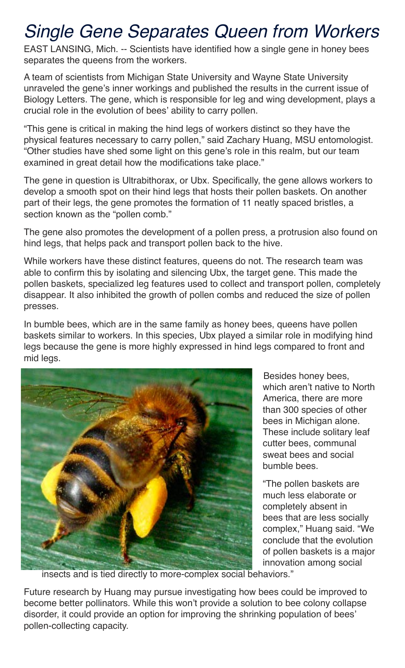## Single Gene Separates
 Queen from Workers

EAST LANSING, Mich. -- Scientists have identified how a single gene in honey bees separates the queens from the workers.

A team of scientists from Michigan State University and Wayne State University unraveled the gene's inner workings and published the results in the current issue of Biology Letters. The gene, which is responsible for leg and wing development, plays a crucial role in the evolution of bees' ability to carry pollen.

"This gene is critical in making the hind legs of workers distinct so they have the physical features necessary to carry pollen," said Zachary Huang, MSU entomologist. "Other studies have shed some light on this gene's role in this realm, but our team examined in great detail how the modifications take place."

The gene in question is Ultrabithorax, or Ubx. Specifically, the gene allows workers to develop a smooth spot on their hind legs that hosts their pollen baskets. On another part of their legs, the gene promotes the formation of 11 neatly spaced bristles, a section known as the "pollen comb."

The gene also promotes the development of a pollen press, a protrusion also found on hind legs, that helps pack and transport pollen back to the hive.

While workers have these distinct features, queens do not. The research team was able to confirm this by isolating and silencing Ubx, the target gene. This made the pollen baskets, specialized leg features used to collect and transport pollen, completely disappear. It also inhibited the growth of pollen combs and reduced the size of pollen presses.

In bumble bees, which are in the same family as honey bees, queens have pollen baskets similar to workers. In this species, Ubx played a similar role in modifying hind legs because the gene is more highly expressed in hind legs compared to front and mid legs.



Besides honey bees, which aren't native to North America, there are more than 300 species of other bees in Michigan alone. These include solitary leaf cutter bees, communal sweat bees and social bumble bees.

"The pollen baskets are much less elaborate or completely absent in bees that are less socially complex," Huang said. "We conclude that the evolution of pollen baskets is a major innovation among social

insects and is tied directly to more-complex social behaviors."

Future research by Huang may pursue investigating how bees could be improved to become better pollinators. While this won't provide a solution to bee colony collapse disorder, it could provide an option for improving the shrinking population of bees' pollen-collecting capacity.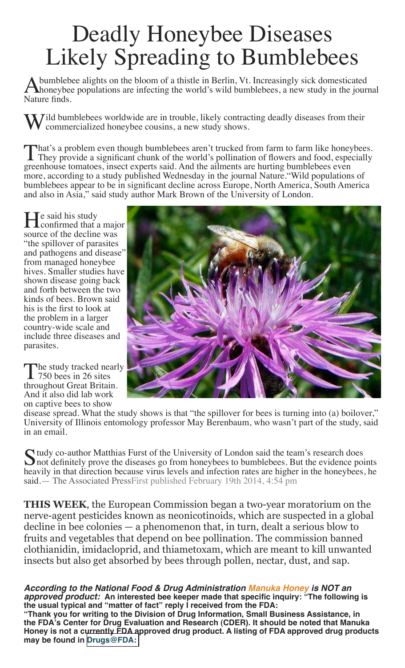## Deadly Honeybee Diseases Likely Spreading to Bumblebees

bumblebee alights on the bloom of a thistle in Berlin, Vt. Increasingly sick domesticated honeybee populations are infecting the world's wild bumblebees, a new study in the journal Nature finds.

 $\mathcal{N}$ ild bumblebees worldwide are in trouble, likely contracting deadly diseases from their commercialized honeybee cousins, a new study shows.

That's a problem even though bumblebees aren't trucked from farm to farm like honeybees.<br>They provide a significant chunk of the world's pollination of flowers and food, especially<br>resort by the significant condition in th greenhouse tomatoes, insect experts said. And the ailments are hurting bumblebees even more, according to a study published Wednesday in the journal Nature."Wild populations of bumblebees appear to be in significant decline across Europe, North America, South America and also in Asia," said study author Mark Brown of the University of London.

e said his study confirmed that a major source of the decline was "the spillover of parasites and pathogens and disease" from managed honeybee hives. Smaller studies have shown disease going back and forth between the two kinds of bees. Brown said his is the first to look at the problem in a larger country-wide scale and include three diseases and parasites.

The study tracked nearly<br>
750 bees in 26 sites<br>
throughout Creat Britain throughout Great Britain. And it also did lab work on captive bees to show

**may be found in [Drugs@FDA:](http://www.accessdata.fda.gov/scripts/cder/drugsatfda/index.cfm)** 



disease spread. What the study shows is that "the spillover for bees is turning into (a) boilover," University of Illinois entomology professor May Berenbaum, who wasn't part of the study, said in an email.

S tudy co-author Matthias Furst of the University of London said the team's research does<br>not definitely prove the diseases go from honeybees to bumblebees. But the evidence points<br>hospily in that direction hooves virus la heavily in that direction because virus levels and infection rates are higher in the honeybees, he said.— The Associated PressFirst published February 19th 2014, 4:54 pm

**THIS WEEK**, the European Commission began a two-year moratorium on the nerve-agent pesticides known as neonicotinoids, which are suspected in a global decline in bee colonies — a phenomenon that, in turn, dealt a serious blow to fruits and vegetables that depend on bee pollination. The commission banned clothianidin, imidacloprid, and thiametoxam, which are meant to kill unwanted insects but also get absorbed by bees through pollen, nectar, dust, and sap.

**According to the National Food & Drug Administration Manuka Honey is NOT an approved product: An interested bee keeper made that specific inquiry: "The following is the usual typical and "matter of fact" reply I received from the FDA: "Thank you for writing to the Division of Drug Information, Small Business Assistance, in the FDA's Center for Drug Evaluation and Research (CDER). It should be noted that Manuka Honey is not a currently FDA approved drug product. A listing of FDA approved drug products**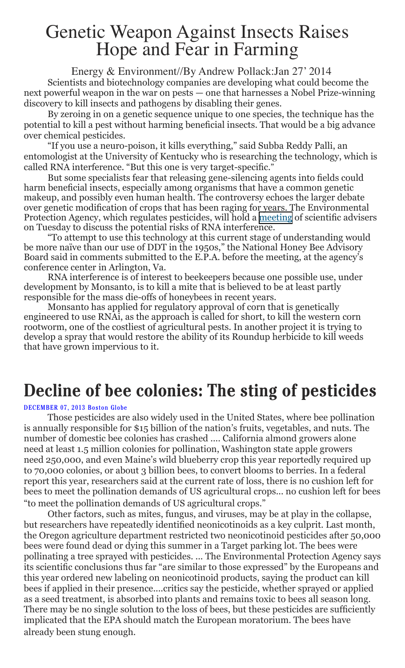# Genetic Weapon Against Insects Raises Hope and Fear in Farming

 Energy & Environment//By Andrew Pollack:Jan 27' 2014 Scientists and biotechnology companies are developing what could become the next powerful weapon in the war on pests — one that harnesses a Nobel Prize-winning discovery to kill insects and pathogens by disabling their genes.

By zeroing in on a genetic sequence unique to one species, the technique has the potential to kill a pest without harming beneficial insects. That would be a big advance over chemical pesticides.

"If you use a neuro-poison, it kills everything," said Subba Reddy Palli, an entomologist at the University of Kentucky who is researching the technology, which is called RNA interference. "But this one is very target-specific."

But some specialists fear that releasing gene-silencing agents into fields could harm beneficial insects, especially among organisms that have a common genetic makeup, and possibly even human health. The controversy echoes the larger debate over genetic modification of crops that has been raging for years. The Environmental Protection Agency, which regulates pesticides, will hold a [meeting](http://www.regulations.gov/#%21documentDetail;D=EPA-HQ-OPP-2013-0485-0013) of scientific advisers on Tuesday to discuss the potential risks of RNA interference.

"To attempt to use this technology at this current stage of understanding would be more naïve than our use of DDT in the 1950s," the National Honey Bee Advisory Board said in comments submitted to the E.P.A. before the meeting, at the agency's conference center in Arlington, Va.

RNA interference is of interest to beekeepers because one possible use, under development by Monsanto, is to kill a mite that is believed to be at least partly responsible for the mass die-offs of honeybees in recent years.

Monsanto has applied for regulatory approval of corn that is genetically engineered to use RNAi, as the approach is called for short, to kill the western corn rootworm, one of the costliest of agricultural pests. In another project it is trying to develop a spray that would restore the ability of its Roundup herbicide to kill weeds that have grown impervious to it.

## **Decline of bee colonies: The sting of pesticides**

DECEMBER 07, 2013 Boston Globe

Those pesticides are also widely used in the United States, where bee pollination is annually responsible for \$15 billion of the nation's fruits, vegetables, and nuts. The number of domestic bee colonies has crashed .... California almond growers alone need at least 1.5 million colonies for pollination, Washington state apple growers need 250,000, and even Maine's wild blueberry crop this year reportedly required up to 70,000 colonies, or about 3 billion bees, to convert blooms to berries. In a federal report this year, researchers said at the current rate of loss, there is no cushion left for bees to meet the pollination demands of US agricultural crops... no cushion left for bees "to meet the pollination demands of US agricultural crops."

Other factors, such as mites, fungus, and viruses, may be at play in the collapse, but researchers have repeatedly identified neonicotinoids as a key culprit. Last month, the Oregon agriculture department restricted two neonicotinoid pesticides after 50,000 bees were found dead or dying this summer in a Target parking lot. The bees were pollinating a tree sprayed with pesticides. ... The Environmental Protection Agency says its scientific conclusions thus far "are similar to those expressed" by the Europeans and this year ordered new labeling on neonicotinoid products, saying the product can kill bees if applied in their presence....critics say the pesticide, whether sprayed or applied as a seed treatment, is absorbed into plants and remains toxic to bees all season long. There may be no single solution to the loss of bees, but these pesticides are sufficiently implicated that the EPA should match the European moratorium. The bees have already been stung enough.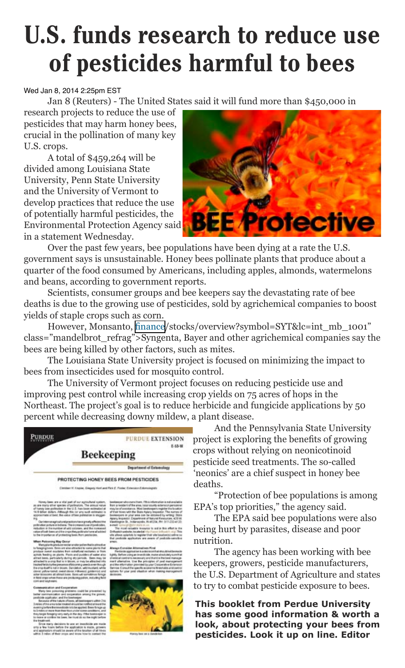## **U.S. funds research to reduce use of pesticides harmful to bees**

#### Wed Jan 8, 2014 2:25pm EST

Jan 8 (Reuters) - The United States said it will fund more than \$450,000 in

research projects to reduce the use of pesticides that may harm honey bees, crucial in the pollination of many key U.S. crops.

A total of \$459,264 will be divided among Louisiana State University, Penn State University and the University of Vermont to develop practices that reduce the use of potentially harmful pesticides, the Environmental Protection Agency said in a statement Wednesday.



Over the past few years, bee populations have been dying at a rate the U.S. government says is unsustainable. Honey bees pollinate plants that produce about a quarter of the food consumed by Americans, including apples, almonds, watermelons and beans, according to government reports.

Scientists, consumer groups and bee keepers say the devastating rate of bee deaths is due to the growing use of pesticides, sold by agrichemical companies to boost yields of staple crops such as corn.

However, Monsanto, [finance](http://www.reuters.com/%3Ca%20href=)/stocks/overview?symbol=SYT&lc=int\_mb\_1001" class="mandelbrot\_refrag">Syngenta, Bayer and other agrichemical companies say the bees are being killed by other factors, such as mites.

The Louisiana State University project is focused on minimizing the impact to bees from insecticides used for mosquito control.

The University of Vermont project focuses on reducing pesticide use and improving pest control while increasing crop yields on 75 acres of hops in the Northeast. The project's goal is to reduce herbicide and fungicide applications by 50 percent while decreasing downy mildew, a plant disease.



PROTECTING HONEY BEES FROM PESTICIDES



And the Pennsylvania State University project is exploring the benefits of growing crops without relying on neonicotinoid pesticide seed treatments. The so-called 'neonics' are a chief suspect in honey bee deaths.

"Protection of bee populations is among EPA's top priorities," the agency said.

The EPA said bee populations were also being hurt by parasites, disease and poor nutrition.

The agency has been working with bee keepers, growers, pesticide manufacturers, the U.S. Department of Agriculture and states to try to combat pesticide exposure to bees.

**This booklet from Perdue University has some good information & worth a look, about protecting your bees from pesticides. Look it up on line. Editor**